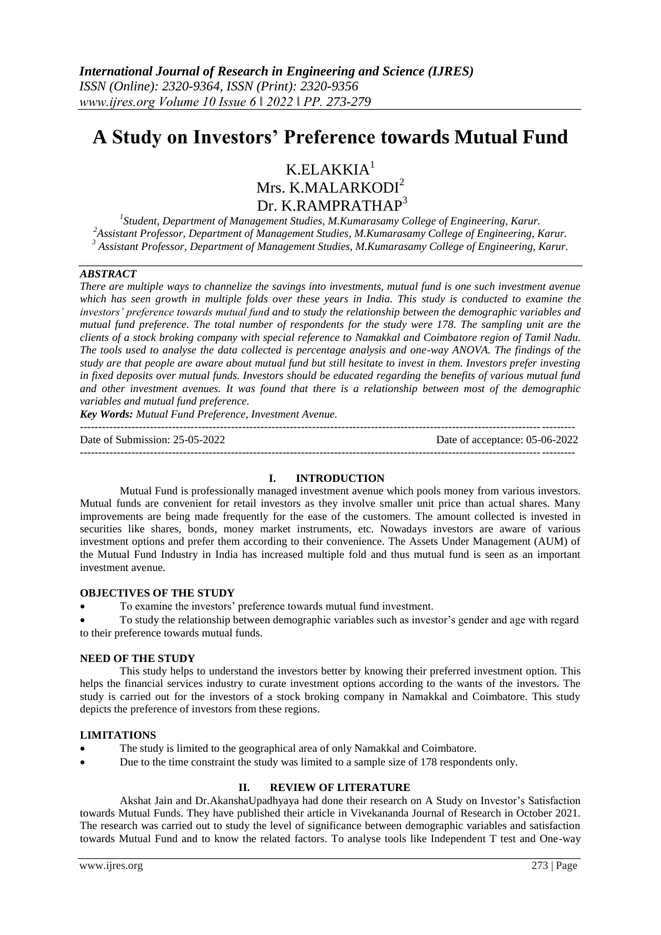# **A Study on Investors' Preference towards Mutual Fund**

## $K.ELAKKIA<sup>1</sup>$ Mrs. K.MALARKODI<sup>2</sup> Dr. K.RAMPRATHAP<sup>3</sup>

*1 Student, Department of Management Studies, M.Kumarasamy College of Engineering, Karur. <sup>2</sup>Assistant Professor, Department of Management Studies, M.Kumarasamy College of Engineering, Karur. <sup>3</sup> Assistant Professor, Department of Management Studies, M.Kumarasamy College of Engineering, Karur.*

## *ABSTRACT*

*There are multiple ways to channelize the savings into investments, mutual fund is one such investment avenue which has seen growth in multiple folds over these years in India. This study is conducted to examine the investors' preference towards mutual fund and to study the relationship between the demographic variables and mutual fund preference. The total number of respondents for the study were 178. The sampling unit are the clients of a stock broking company with special reference to Namakkal and Coimbatore region of Tamil Nadu. The tools used to analyse the data collected is percentage analysis and one-way ANOVA. The findings of the study are that people are aware about mutual fund but still hesitate to invest in them. Investors prefer investing in fixed deposits over mutual funds. Investors should be educated regarding the benefits of various mutual fund and other investment avenues. It was found that there is a relationship between most of the demographic variables and mutual fund preference.*

*Key Words: Mutual Fund Preference, Investment Avenue.*

Date of Submission: 25-05-2022 Date of acceptance: 05-06-2022 --------------------------------------------------------------------------------------------------------------------------------------

#### **I. INTRODUCTION**

--------------------------------------------------------------------------------------------------------------------------------------

Mutual Fund is professionally managed investment avenue which pools money from various investors. Mutual funds are convenient for retail investors as they involve smaller unit price than actual shares. Many improvements are being made frequently for the ease of the customers. The amount collected is invested in securities like shares, bonds, money market instruments, etc. Nowadays investors are aware of various investment options and prefer them according to their convenience. The Assets Under Management (AUM) of the Mutual Fund Industry in India has increased multiple fold and thus mutual fund is seen as an important investment avenue.

#### **OBJECTIVES OF THE STUDY**

To examine the investors' preference towards mutual fund investment.

 To study the relationship between demographic variables such as investor's gender and age with regard to their preference towards mutual funds.

#### **NEED OF THE STUDY**

This study helps to understand the investors better by knowing their preferred investment option. This helps the financial services industry to curate investment options according to the wants of the investors. The study is carried out for the investors of a stock broking company in Namakkal and Coimbatore. This study depicts the preference of investors from these regions.

#### **LIMITATIONS**

- The study is limited to the geographical area of only Namakkal and Coimbatore.
- Due to the time constraint the study was limited to a sample size of 178 respondents only.

### **II. REVIEW OF LITERATURE**

Akshat Jain and Dr.AkanshaUpadhyaya had done their research on A Study on Investor's Satisfaction towards Mutual Funds. They have published their article in Vivekananda Journal of Research in October 2021. The research was carried out to study the level of significance between demographic variables and satisfaction towards Mutual Fund and to know the related factors. To analyse tools like Independent T test and One-way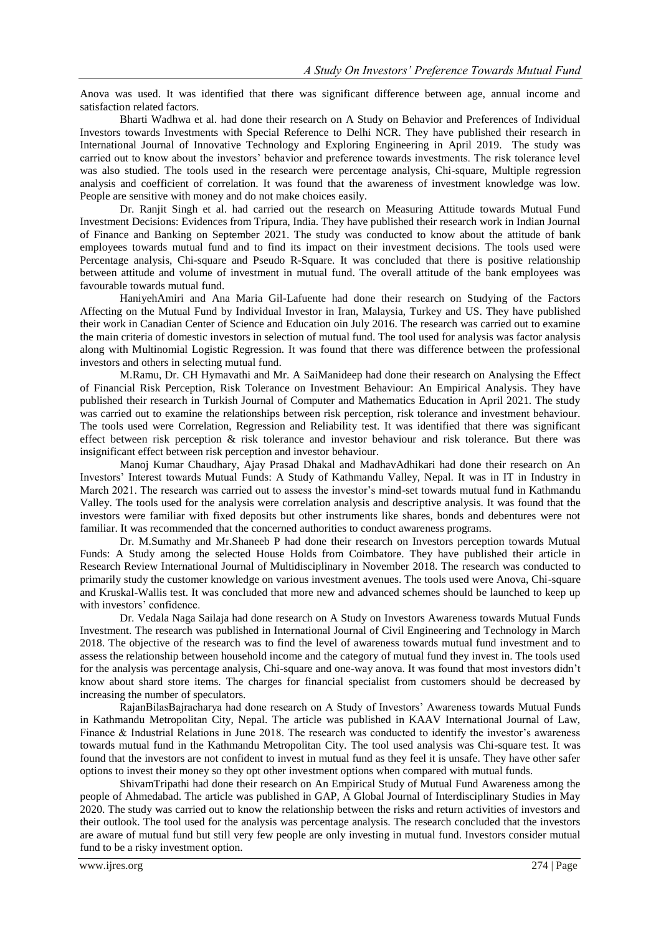Anova was used. It was identified that there was significant difference between age, annual income and satisfaction related factors.

Bharti Wadhwa et al. had done their research on A Study on Behavior and Preferences of Individual Investors towards Investments with Special Reference to Delhi NCR. They have published their research in International Journal of Innovative Technology and Exploring Engineering in April 2019. The study was carried out to know about the investors' behavior and preference towards investments. The risk tolerance level was also studied. The tools used in the research were percentage analysis, Chi-square, Multiple regression analysis and coefficient of correlation. It was found that the awareness of investment knowledge was low. People are sensitive with money and do not make choices easily.

Dr. Ranjit Singh et al. had carried out the research on Measuring Attitude towards Mutual Fund Investment Decisions: Evidences from Tripura, India. They have published their research work in Indian Journal of Finance and Banking on September 2021. The study was conducted to know about the attitude of bank employees towards mutual fund and to find its impact on their investment decisions. The tools used were Percentage analysis, Chi-square and Pseudo R-Square. It was concluded that there is positive relationship between attitude and volume of investment in mutual fund. The overall attitude of the bank employees was favourable towards mutual fund.

HaniyehAmiri and Ana Maria Gil-Lafuente had done their research on Studying of the Factors Affecting on the Mutual Fund by Individual Investor in Iran, Malaysia, Turkey and US. They have published their work in Canadian Center of Science and Education oin July 2016. The research was carried out to examine the main criteria of domestic investors in selection of mutual fund. The tool used for analysis was factor analysis along with Multinomial Logistic Regression. It was found that there was difference between the professional investors and others in selecting mutual fund.

M.Ramu, Dr. CH Hymavathi and Mr. A SaiManideep had done their research on Analysing the Effect of Financial Risk Perception, Risk Tolerance on Investment Behaviour: An Empirical Analysis. They have published their research in Turkish Journal of Computer and Mathematics Education in April 2021. The study was carried out to examine the relationships between risk perception, risk tolerance and investment behaviour. The tools used were Correlation, Regression and Reliability test. It was identified that there was significant effect between risk perception & risk tolerance and investor behaviour and risk tolerance. But there was insignificant effect between risk perception and investor behaviour.

Manoj Kumar Chaudhary, Ajay Prasad Dhakal and MadhavAdhikari had done their research on An Investors' Interest towards Mutual Funds: A Study of Kathmandu Valley, Nepal. It was in IT in Industry in March 2021. The research was carried out to assess the investor's mind-set towards mutual fund in Kathmandu Valley. The tools used for the analysis were correlation analysis and descriptive analysis. It was found that the investors were familiar with fixed deposits but other instruments like shares, bonds and debentures were not familiar. It was recommended that the concerned authorities to conduct awareness programs.

Dr. M.Sumathy and Mr.Shaneeb P had done their research on Investors perception towards Mutual Funds: A Study among the selected House Holds from Coimbatore. They have published their article in Research Review International Journal of Multidisciplinary in November 2018. The research was conducted to primarily study the customer knowledge on various investment avenues. The tools used were Anova, Chi-square and Kruskal-Wallis test. It was concluded that more new and advanced schemes should be launched to keep up with investors' confidence.

Dr. Vedala Naga Sailaja had done research on A Study on Investors Awareness towards Mutual Funds Investment. The research was published in International Journal of Civil Engineering and Technology in March 2018. The objective of the research was to find the level of awareness towards mutual fund investment and to assess the relationship between household income and the category of mutual fund they invest in. The tools used for the analysis was percentage analysis, Chi-square and one-way anova. It was found that most investors didn't know about shard store items. The charges for financial specialist from customers should be decreased by increasing the number of speculators.

RajanBilasBajracharya had done research on A Study of Investors' Awareness towards Mutual Funds in Kathmandu Metropolitan City, Nepal. The article was published in KAAV International Journal of Law, Finance & Industrial Relations in June 2018. The research was conducted to identify the investor's awareness towards mutual fund in the Kathmandu Metropolitan City. The tool used analysis was Chi-square test. It was found that the investors are not confident to invest in mutual fund as they feel it is unsafe. They have other safer options to invest their money so they opt other investment options when compared with mutual funds.

ShivamTripathi had done their research on An Empirical Study of Mutual Fund Awareness among the people of Ahmedabad. The article was published in GAP, A Global Journal of Interdisciplinary Studies in May 2020. The study was carried out to know the relationship between the risks and return activities of investors and their outlook. The tool used for the analysis was percentage analysis. The research concluded that the investors are aware of mutual fund but still very few people are only investing in mutual fund. Investors consider mutual fund to be a risky investment option.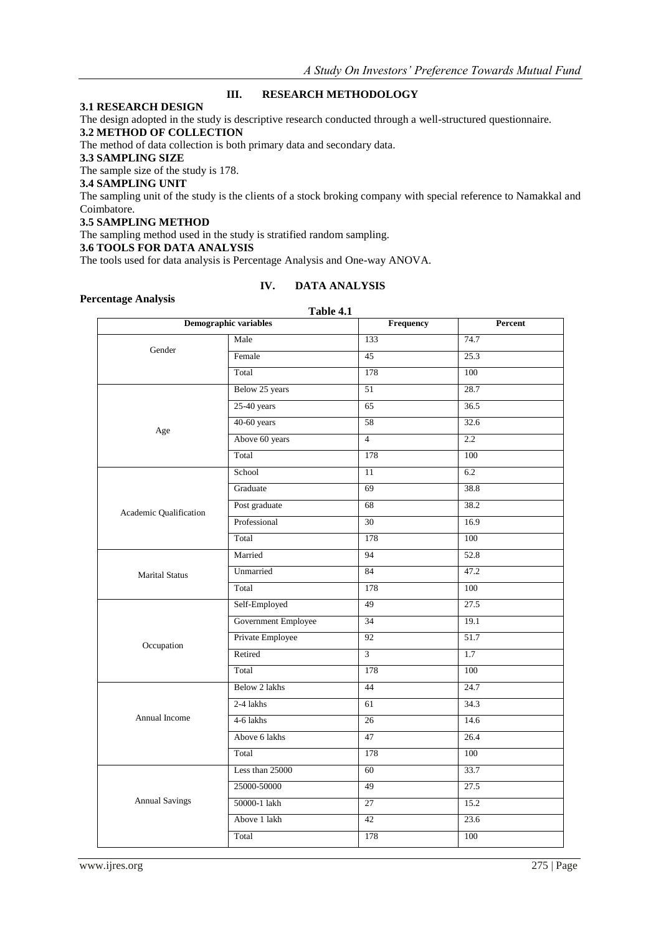## **III. RESEARCH METHODOLOGY**

## **3.1 RESEARCH DESIGN**

The design adopted in the study is descriptive research conducted through a well-structured questionnaire.

#### **3.2 METHOD OF COLLECTION**

The method of data collection is both primary data and secondary data.

#### **3.3 SAMPLING SIZE**

The sample size of the study is 178.

#### **3.4 SAMPLING UNIT**

The sampling unit of the study is the clients of a stock broking company with special reference to Namakkal and Coimbatore.

#### **3.5 SAMPLING METHOD**

The sampling method used in the study is stratified random sampling.

#### **3.6 TOOLS FOR DATA ANALYSIS**

The tools used for data analysis is Percentage Analysis and One-way ANOVA.

## **Percentage Analysis**

## **IV. DATA ANALYSIS**

|                                                                      | Table 4.1             |                 |                   |
|----------------------------------------------------------------------|-----------------------|-----------------|-------------------|
|                                                                      | Demographic variables | Frequency       | Percent           |
|                                                                      | Male                  | 133             | 74.7              |
| Gender                                                               | Female                | $\overline{45}$ | $\overline{25.3}$ |
|                                                                      | Total                 | 178             | 100               |
|                                                                      | Below 25 years        | 51              | 28.7              |
|                                                                      | $25-40$ years         | 65              | 36.5              |
|                                                                      | $40-60$ years         | 58              | 32.6              |
|                                                                      | Above 60 years        | $\overline{4}$  | 2.2               |
|                                                                      | Total                 | 178             | 100               |
|                                                                      | School                | $\overline{11}$ | 6.2               |
|                                                                      | Graduate              | 69              | 38.8              |
|                                                                      | Post graduate         | 68              | 38.2              |
| <b>Marital Status</b>                                                | Professional          | 30              | 16.9              |
|                                                                      | Total                 | 178             | 100               |
|                                                                      | Married               | $\overline{94}$ | 52.8              |
|                                                                      | Unmarried             | $\overline{84}$ | 47.2              |
|                                                                      | Total                 | 178             | $\overline{100}$  |
|                                                                      | Self-Employed         | 49              | 27.5              |
|                                                                      | Government Employee   | 34              | 19.1              |
|                                                                      | Private Employee      | 92              | 51.7              |
|                                                                      | Retired               | $\overline{3}$  | 1.7               |
|                                                                      | Total                 | 178             | 100               |
|                                                                      | Below 2 lakhs         | 44              | 24.7              |
|                                                                      | 2-4 lakhs             | 61              | 34.3              |
| Annual Income                                                        | 4-6 lakhs             | 26              | 14.6              |
|                                                                      | Above 6 lakhs         | 47              | 26.4              |
|                                                                      | Total                 | 178             | 100               |
|                                                                      | Less than 25000       | 60              | 33.7              |
|                                                                      | 25000-50000           | 49              | 27.5              |
|                                                                      | 50000-1 lakh          | 27              | 15.2              |
|                                                                      | Above 1 lakh          | 42              | 23.6              |
| Age<br>Academic Qualification<br>Occupation<br><b>Annual Savings</b> | Total                 | 178             | 100               |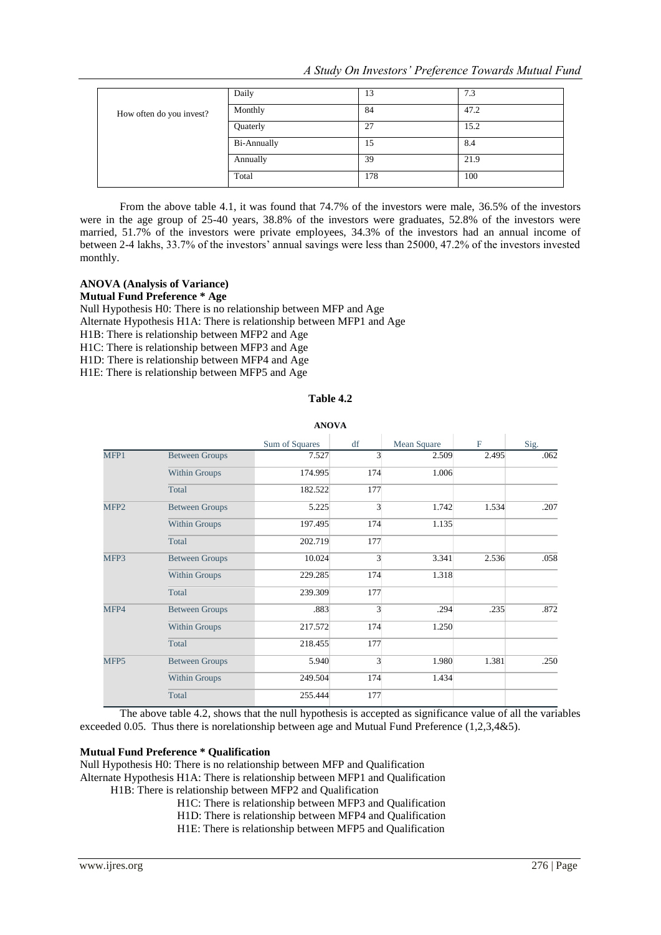*A Study On Investors' Preference Towards Mutual Fund*

|                          | Daily              | 13  | 7.3  |
|--------------------------|--------------------|-----|------|
| How often do you invest? | Monthly            | 84  | 47.2 |
|                          | Quaterly           | 27  | 15.2 |
|                          | <b>Bi-Annually</b> | 15  | 8.4  |
|                          | Annually           | 39  | 21.9 |
|                          | Total              | 178 | 100  |

From the above table 4.1, it was found that 74.7% of the investors were male, 36.5% of the investors were in the age group of 25-40 years, 38.8% of the investors were graduates, 52.8% of the investors were married, 51.7% of the investors were private employees, 34.3% of the investors had an annual income of between 2-4 lakhs, 33.7% of the investors' annual savings were less than 25000, 47.2% of the investors invested monthly.

## **ANOVA (Analysis of Variance)**

**Mutual Fund Preference \* Age**

Null Hypothesis H0: There is no relationship between MFP and Age

Alternate Hypothesis H1A: There is relationship between MFP1 and Age

H1B: There is relationship between MFP2 and Age

H1C: There is relationship between MFP3 and Age H1D: There is relationship between MFP4 and Age

H1E: There is relationship between MFP5 and Age

## **Table 4.2**

| <b>ANOVA</b>     |                       |                |     |             |             |      |  |  |
|------------------|-----------------------|----------------|-----|-------------|-------------|------|--|--|
|                  |                       | Sum of Squares | df  | Mean Square | $\mathbf F$ | Sig. |  |  |
| MFP1             | <b>Between Groups</b> | 7.527          | 3   | 2.509       | 2.495       | .062 |  |  |
|                  | Within Groups         | 174.995        | 174 | 1.006       |             |      |  |  |
|                  | Total                 | 182.522        | 177 |             |             |      |  |  |
| MFP <sub>2</sub> | <b>Between Groups</b> | 5.225          | 3   | 1.742       | 1.534       | .207 |  |  |
|                  | Within Groups         | 197.495        | 174 | 1.135       |             |      |  |  |
|                  | Total                 | 202.719        | 177 |             |             |      |  |  |
| MFP3             | <b>Between Groups</b> | 10.024         | 3   | 3.341       | 2.536       | .058 |  |  |
|                  | Within Groups         | 229.285        | 174 | 1.318       |             |      |  |  |
|                  | Total                 | 239.309        | 177 |             |             |      |  |  |
| MFP4             | <b>Between Groups</b> | .883           | 3   | .294        | .235        | .872 |  |  |
|                  | Within Groups         | 217.572        | 174 | 1.250       |             |      |  |  |
|                  | Total                 | 218.455        | 177 |             |             |      |  |  |
| MFP5             | <b>Between Groups</b> | 5.940          | 3   | 1.980       | 1.381       | .250 |  |  |
|                  | Within Groups         | 249.504        | 174 | 1.434       |             |      |  |  |
|                  | Total                 | 255.444        | 177 |             |             |      |  |  |

The above table 4.2, shows that the null hypothesis is accepted as significance value of all the variables exceeded 0.05. Thus there is norelationship between age and Mutual Fund Preference (1,2,3,4&5).

#### **Mutual Fund Preference \* Qualification**

Null Hypothesis H0: There is no relationship between MFP and Qualification

Alternate Hypothesis H1A: There is relationship between MFP1 and Qualification

H1B: There is relationship between MFP2 and Qualification

- H1C: There is relationship between MFP3 and Qualification
- H1D: There is relationship between MFP4 and Qualification

H1E: There is relationship between MFP5 and Qualification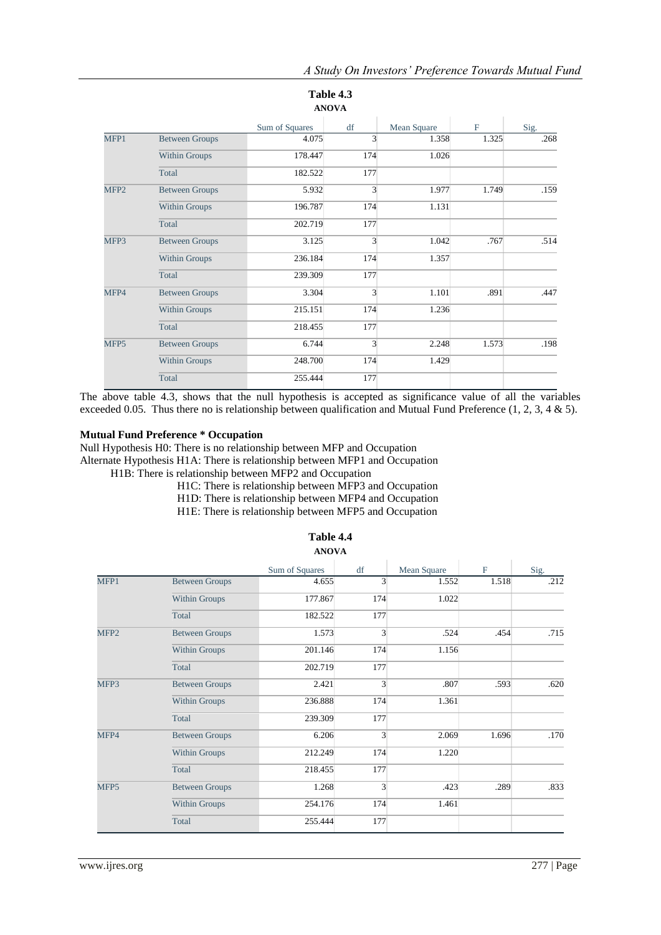|                  | Table 4.3<br><b>ANOVA</b> |                |     |             |              |      |  |  |  |  |
|------------------|---------------------------|----------------|-----|-------------|--------------|------|--|--|--|--|
|                  |                           | Sum of Squares | df  | Mean Square | $\mathbf{F}$ | Sig. |  |  |  |  |
| MFP1             | <b>Between Groups</b>     | 4.075          | 3   | 1.358       | 1.325        | .268 |  |  |  |  |
|                  | Within Groups             | 178.447        | 174 | 1.026       |              |      |  |  |  |  |
|                  | Total                     | 182.522        | 177 |             |              |      |  |  |  |  |
| MFP <sub>2</sub> | <b>Between Groups</b>     | 5.932          | 3   | 1.977       | 1.749        | .159 |  |  |  |  |
|                  | Within Groups             | 196.787        | 174 | 1.131       |              |      |  |  |  |  |
|                  | Total                     | 202.719        | 177 |             |              |      |  |  |  |  |
| MFP3             | <b>Between Groups</b>     | 3.125          | 3   | 1.042       | .767         | .514 |  |  |  |  |
|                  | Within Groups             | 236.184        | 174 | 1.357       |              |      |  |  |  |  |
|                  | Total                     | 239.309        | 177 |             |              |      |  |  |  |  |
| MFP4             | <b>Between Groups</b>     | 3.304          | 3   | 1.101       | .891         | .447 |  |  |  |  |
|                  | Within Groups             | 215.151        | 174 | 1.236       |              |      |  |  |  |  |
|                  | Total                     | 218.455        | 177 |             |              |      |  |  |  |  |
| MFP <sub>5</sub> | <b>Between Groups</b>     | 6.744          | 3   | 2.248       | 1.573        | .198 |  |  |  |  |
|                  | <b>Within Groups</b>      | 248.700        | 174 | 1.429       |              |      |  |  |  |  |
|                  | Total                     | 255.444        | 177 |             |              |      |  |  |  |  |

The above table 4.3, shows that the null hypothesis is accepted as significance value of all the variables exceeded 0.05. Thus there no is relationship between qualification and Mutual Fund Preference (1, 2, 3, 4 & 5).

## **Mutual Fund Preference \* Occupation**

Null Hypothesis H0: There is no relationship between MFP and Occupation Alternate Hypothesis H1A: There is relationship between MFP1 and Occupation H1B: There is relationship between MFP2 and Occupation

- H1C: There is relationship between MFP3 and Occupation
- H1D: There is relationship between MFP4 and Occupation
- H1E: There is relationship between MFP5 and Occupation

|                       | Sum of Squares | df             | Mean Square | $\mathbf F$ | Sig. |
|-----------------------|----------------|----------------|-------------|-------------|------|
| <b>Between Groups</b> | 4.655          | 3              | 1.552       | 1.518       | .212 |
| Within Groups         | 177.867        | 174            | 1.022       |             |      |
| Total                 | 182.522        | 177            |             |             |      |
| <b>Between Groups</b> | 1.573          | 3              | .524        | .454        | .715 |
| <b>Within Groups</b>  | 201.146        | 174            | 1.156       |             |      |
| Total                 | 202.719        | 177            |             |             |      |
| <b>Between Groups</b> | 2.421          | 3              | .807        | .593        | .620 |
| Within Groups         | 236.888        | 174            | 1.361       |             |      |
| Total                 | 239.309        | 177            |             |             |      |
| <b>Between Groups</b> | 6.206          | 3              | 2.069       | 1.696       | .170 |
| Within Groups         | 212.249        | 174            | 1.220       |             |      |
| Total                 | 218.455        | 177            |             |             |      |
| <b>Between Groups</b> | 1.268          | $\overline{3}$ | .423        | .289        | .833 |
| <b>Within Groups</b>  | 254.176        | 174            | 1.461       |             |      |
| Total                 | 255.444        | 177            |             |             |      |
|                       |                |                |             |             |      |

#### **Table 4.4 ANOVA**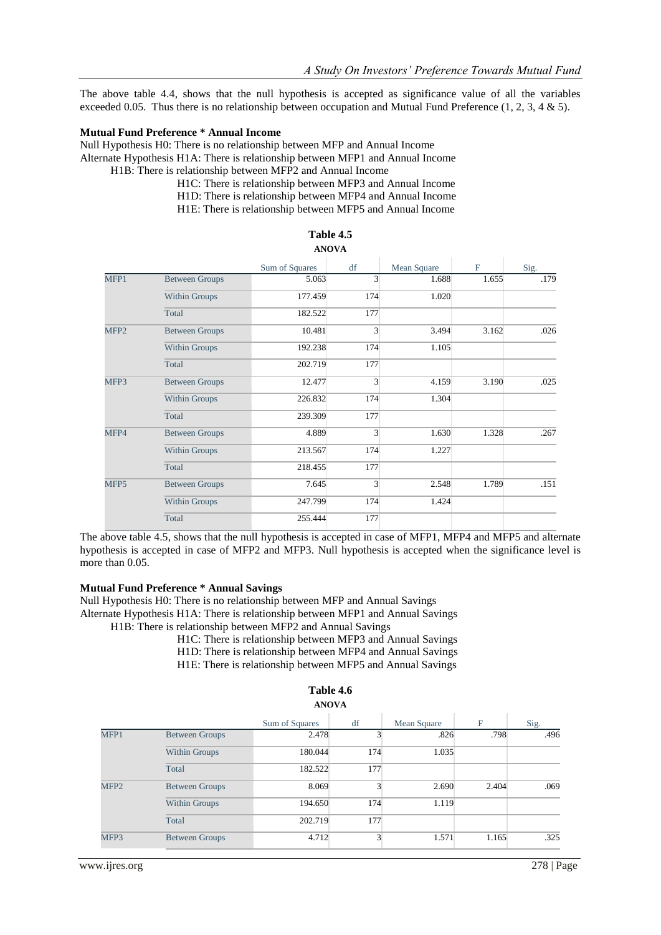The above table 4.4, shows that the null hypothesis is accepted as significance value of all the variables exceeded 0.05. Thus there is no relationship between occupation and Mutual Fund Preference  $(1, 2, 3, 4 \& 5)$ .

#### **Mutual Fund Preference \* Annual Income**

Null Hypothesis H0: There is no relationship between MFP and Annual Income Alternate Hypothesis H1A: There is relationship between MFP1 and Annual Income H1B: There is relationship between MFP2 and Annual Income

> H1C: There is relationship between MFP3 and Annual Income H1D: There is relationship between MFP4 and Annual Income H1E: There is relationship between MFP5 and Annual Income

|                  |                       | Sum of Squares | df  | Mean Square | $_{\rm F}$ | Sig. |
|------------------|-----------------------|----------------|-----|-------------|------------|------|
| MFP1             | <b>Between Groups</b> | 5.063          | 3   | 1.688       | 1.655      | .179 |
|                  | Within Groups         | 177.459        | 174 | 1.020       |            |      |
|                  | Total                 | 182.522        | 177 |             |            |      |
| MFP <sub>2</sub> | <b>Between Groups</b> | 10.481         | 3   | 3.494       | 3.162      | .026 |
|                  | <b>Within Groups</b>  | 192.238        | 174 | 1.105       |            |      |
|                  | Total                 | 202.719        | 177 |             |            |      |
| MFP3             | <b>Between Groups</b> | 12.477         | 3   | 4.159       | 3.190      | .025 |
|                  | <b>Within Groups</b>  | 226.832        | 174 | 1.304       |            |      |
|                  | Total                 | 239.309        | 177 |             |            |      |
| MFP4             | <b>Between Groups</b> | 4.889          | 3   | 1.630       | 1.328      | .267 |
|                  | Within Groups         | 213.567        | 174 | 1.227       |            |      |
|                  | Total                 | 218.455        | 177 |             |            |      |
| MFP5             | <b>Between Groups</b> | 7.645          | 3   | 2.548       | 1.789      | .151 |
|                  | <b>Within Groups</b>  | 247.799        | 174 | 1.424       |            |      |
|                  | Total                 | 255.444        | 177 |             |            |      |

#### **Table 4.5 ANOVA**

The above table 4.5, shows that the null hypothesis is accepted in case of MFP1, MFP4 and MFP5 and alternate hypothesis is accepted in case of MFP2 and MFP3. Null hypothesis is accepted when the significance level is more than 0.05.

#### **Mutual Fund Preference \* Annual Savings**

Null Hypothesis H0: There is no relationship between MFP and Annual Savings Alternate Hypothesis H1A: There is relationship between MFP1 and Annual Savings H1B: There is relationship between MFP2 and Annual Savings

- H1C: There is relationship between MFP3 and Annual Savings
- H1D: There is relationship between MFP4 and Annual Savings H1E: There is relationship between MFP5 and Annual Savings

## **Table 4.6**

|                  |                       | Sum of Squares | df  | Mean Square | $_{\rm F}$ | Sig. |
|------------------|-----------------------|----------------|-----|-------------|------------|------|
| MFP1             | <b>Between Groups</b> | 2.478          |     | .826        | .798       | .496 |
|                  | <b>Within Groups</b>  | 180.044        | 174 | 1.035       |            |      |
|                  | Total                 | 182.522        | 177 |             |            |      |
| MFP <sub>2</sub> | <b>Between Groups</b> | 8.069          |     | 2.690       | 2.404      | .069 |
|                  | Within Groups         | 194.650        | 174 | 1.119       |            |      |
|                  | Total                 | 202.719        | 177 |             |            |      |
| MFP3             | <b>Between Groups</b> | 4.712          |     | 1.571       | 1.165      | .325 |